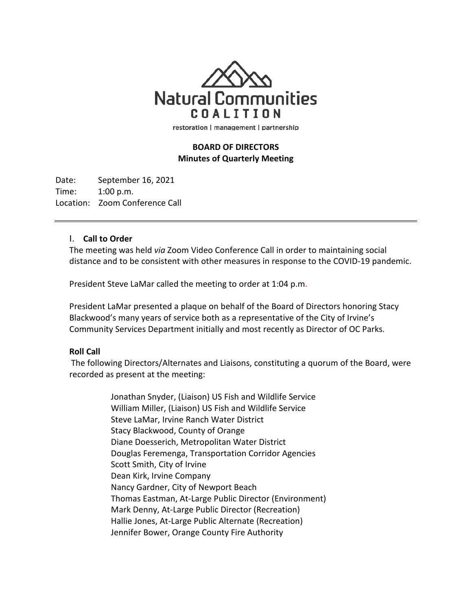

restoration | management | partnership

# **BOARD OF DIRECTORS Minutes of Quarterly Meeting**

Date: September 16, 2021 Time: 1:00 p.m. Location: Zoom Conference Call

## I. **Call to Order**

The meeting was held *via* Zoom Video Conference Call in order to maintaining social distance and to be consistent with other measures in response to the COVID-19 pandemic.

President Steve LaMar called the meeting to order at 1:04 p.m.

President LaMar presented a plaque on behalf of the Board of Directors honoring Stacy Blackwood's many years of service both as a representative of the City of Irvine's Community Services Department initially and most recently as Director of OC Parks.

#### **Roll Call**

The following Directors/Alternates and Liaisons, constituting a quorum of the Board, were recorded as present at the meeting:

> Jonathan Snyder, (Liaison) US Fish and Wildlife Service William Miller, (Liaison) US Fish and Wildlife Service Steve LaMar, Irvine Ranch Water District Stacy Blackwood, County of Orange Diane Doesserich, Metropolitan Water District Douglas Feremenga, Transportation Corridor Agencies Scott Smith, City of Irvine Dean Kirk, Irvine Company Nancy Gardner, City of Newport Beach Thomas Eastman, At-Large Public Director (Environment) Mark Denny, At-Large Public Director (Recreation) Hallie Jones, At-Large Public Alternate (Recreation) Jennifer Bower, Orange County Fire Authority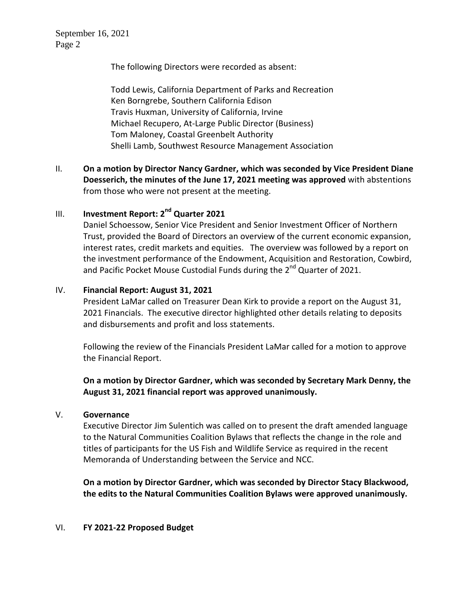September 16, 2021 Page 2

The following Directors were recorded as absent:

Todd Lewis, California Department of Parks and Recreation Ken Borngrebe, Southern California Edison Travis Huxman, University of California, Irvine Michael Recupero, At-Large Public Director (Business) Tom Maloney, Coastal Greenbelt Authority Shelli Lamb, Southwest Resource Management Association

II. **On a motion by Director Nancy Gardner, which was seconded by Vice President Diane Doesserich, the minutes of the June 17, 2021 meeting was approved** with abstentions from those who were not present at the meeting.

# III. **Investment Report: 2nd Quarter 2021**

Daniel Schoessow, Senior Vice President and Senior Investment Officer of Northern Trust, provided the Board of Directors an overview of the current economic expansion, interest rates, credit markets and equities. The overview was followed by a report on the investment performance of the Endowment, Acquisition and Restoration, Cowbird, and Pacific Pocket Mouse Custodial Funds during the 2<sup>nd</sup> Quarter of 2021.

## IV. **Financial Report: August 31, 2021**

President LaMar called on Treasurer Dean Kirk to provide a report on the August 31, 2021 Financials. The executive director highlighted other details relating to deposits and disbursements and profit and loss statements.

Following the review of the Financials President LaMar called for a motion to approve the Financial Report.

**On a motion by Director Gardner, which was seconded by Secretary Mark Denny, the August 31, 2021 financial report was approved unanimously.**

#### V. **Governance**

Executive Director Jim Sulentich was called on to present the draft amended language to the Natural Communities Coalition Bylaws that reflects the change in the role and titles of participants for the US Fish and Wildlife Service as required in the recent Memoranda of Understanding between the Service and NCC.

**On a motion by Director Gardner, which was seconded by Director Stacy Blackwood, the edits to the Natural Communities Coalition Bylaws were approved unanimously.**

#### VI. **FY 2021-22 Proposed Budget**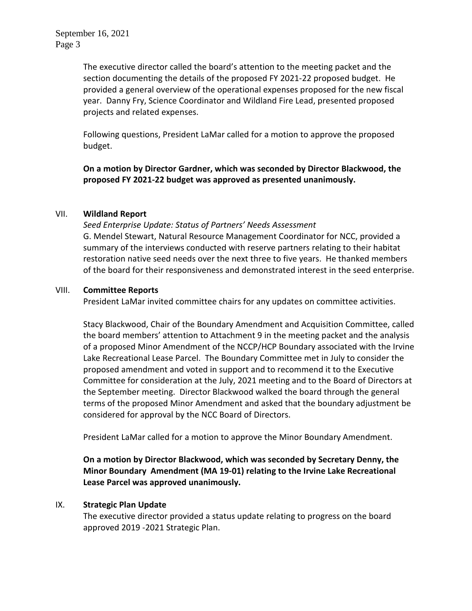The executive director called the board's attention to the meeting packet and the section documenting the details of the proposed FY 2021-22 proposed budget. He provided a general overview of the operational expenses proposed for the new fiscal year. Danny Fry, Science Coordinator and Wildland Fire Lead, presented proposed projects and related expenses.

Following questions, President LaMar called for a motion to approve the proposed budget.

**On a motion by Director Gardner, which was seconded by Director Blackwood, the proposed FY 2021-22 budget was approved as presented unanimously.**

## VII. **Wildland Report**

*Seed Enterprise Update: Status of Partners' Needs Assessment* G. Mendel Stewart, Natural Resource Management Coordinator for NCC, provided a summary of the interviews conducted with reserve partners relating to their habitat restoration native seed needs over the next three to five years. He thanked members of the board for their responsiveness and demonstrated interest in the seed enterprise.

## VIII. **Committee Reports**

President LaMar invited committee chairs for any updates on committee activities.

Stacy Blackwood, Chair of the Boundary Amendment and Acquisition Committee, called the board members' attention to Attachment 9 in the meeting packet and the analysis of a proposed Minor Amendment of the NCCP/HCP Boundary associated with the Irvine Lake Recreational Lease Parcel. The Boundary Committee met in July to consider the proposed amendment and voted in support and to recommend it to the Executive Committee for consideration at the July, 2021 meeting and to the Board of Directors at the September meeting. Director Blackwood walked the board through the general terms of the proposed Minor Amendment and asked that the boundary adjustment be considered for approval by the NCC Board of Directors.

President LaMar called for a motion to approve the Minor Boundary Amendment.

**On a motion by Director Blackwood, which was seconded by Secretary Denny, the Minor Boundary Amendment (MA 19-01) relating to the Irvine Lake Recreational Lease Parcel was approved unanimously.**

# IX. **Strategic Plan Update**

The executive director provided a status update relating to progress on the board approved 2019 -2021 Strategic Plan.